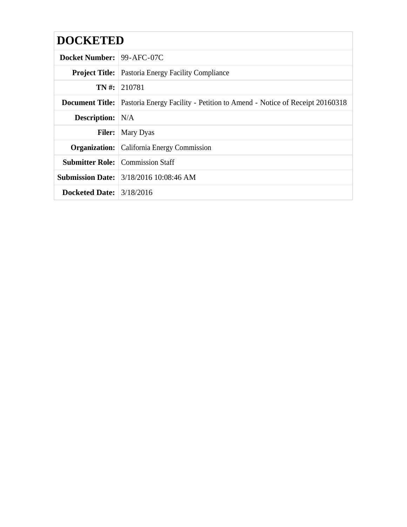# **DOCKETED**

| <b>Docket Number:</b> 99-AFC-07C |                                                                           |
|----------------------------------|---------------------------------------------------------------------------|
|                                  | <b>Project Title:</b> Pastoria Energy Facility Compliance                 |
|                                  | $TN \#: 210781$                                                           |
| Document Title:                  | Pastoria Energy Facility - Petition to Amend - Notice of Receipt 20160318 |
| <b>Description:</b> N/A          |                                                                           |
|                                  | <b>Filer:</b>   Mary Dyas                                                 |
|                                  | <b>Organization:</b> California Energy Commission                         |
|                                  | <b>Submitter Role:</b> Commission Staff                                   |
|                                  | <b>Submission Date:</b> 3/18/2016 10:08:46 AM                             |
| Docketed Date: $3/18/2016$       |                                                                           |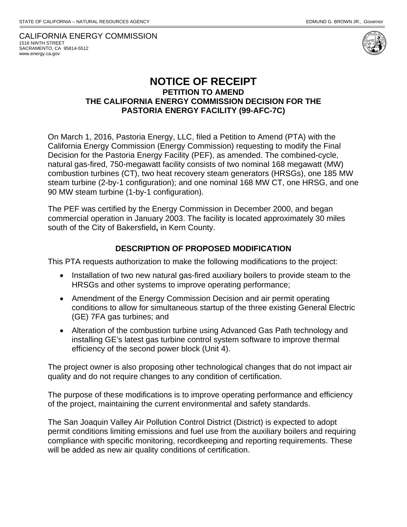CALIFORNIA ENERGY COMMISSION 1516 NINTH STREET SACRAMENTO, CA 95814-5512 www.energy.ca.gov



## **NOTICE OF RECEIPT PETITION TO AMEND THE CALIFORNIA ENERGY COMMISSION DECISION FOR THE PASTORIA ENERGY FACILITY (99-AFC-7C)**

On March 1, 2016, Pastoria Energy, LLC, filed a Petition to Amend (PTA) with the California Energy Commission (Energy Commission) requesting to modify the Final Decision for the Pastoria Energy Facility (PEF), as amended. The combined-cycle, natural gas-fired, 750-megawatt facility consists of two nominal 168 megawatt (MW) combustion turbines (CT), two heat recovery steam generators (HRSGs), one 185 MW steam turbine (2-by-1 configuration); and one nominal 168 MW CT, one HRSG, and one 90 MW steam turbine (1-by-1 configuration).

The PEF was certified by the Energy Commission in December 2000, and began commercial operation in January 2003. The facility is located approximately 30 miles south of the City of Bakersfield**,** in Kern County.

#### **DESCRIPTION OF PROPOSED MODIFICATION**

This PTA requests authorization to make the following modifications to the project:

- Installation of two new natural gas-fired auxiliary boilers to provide steam to the HRSGs and other systems to improve operating performance;
- Amendment of the Energy Commission Decision and air permit operating conditions to allow for simultaneous startup of the three existing General Electric (GE) 7FA gas turbines; and
- Alteration of the combustion turbine using Advanced Gas Path technology and installing GE's latest gas turbine control system software to improve thermal efficiency of the second power block (Unit 4).

The project owner is also proposing other technological changes that do not impact air quality and do not require changes to any condition of certification.

The purpose of these modifications is to improve operating performance and efficiency of the project, maintaining the current environmental and safety standards.

The San Joaquin Valley Air Pollution Control District (District) is expected to adopt permit conditions limiting emissions and fuel use from the auxiliary boilers and requiring compliance with specific monitoring, recordkeeping and reporting requirements. These will be added as new air quality conditions of certification.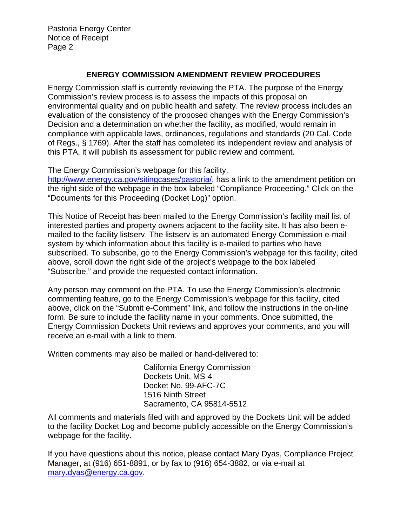Pastoria Energy Center Notice of Receipt Page 2

### **ENERGY COMMISSION AMENDMENT REVIEW PROCEDURES**

Energy Commission staff is currently reviewing the PTA. The purpose of the Energy Commission's review process is to assess the impacts of this proposal on environmental quality and on public health and safety. The review process includes an evaluation of the consistency of the proposed changes with the Energy Commission's Decision and a determination on whether the facility, as modified, would remain in compliance with applicable laws, ordinances, regulations and standards (20 Cal. Code of Regs., § 1769). After the staff has completed its independent review and analysis of this PTA, it will publish its assessment for public review and comment.

The Energy Commission's webpage for this facility,

http://www.energy.ca.gov/sitingcases/pastoria/, has a link to the amendment petition on the right side of the webpage in the box labeled "Compliance Proceeding." Click on the "Documents for this Proceeding (Docket Log)" option.

This Notice of Receipt has been mailed to the Energy Commission's facility mail list of interested parties and property owners adjacent to the facility site. It has also been emailed to the facility listserv. The listserv is an automated Energy Commission e-mail system by which information about this facility is e-mailed to parties who have subscribed. To subscribe, go to the Energy Commission's webpage for this facility, cited above, scroll down the right side of the project's webpage to the box labeled "Subscribe," and provide the requested contact information.

Any person may comment on the PTA. To use the Energy Commission's electronic commenting feature, go to the Energy Commission's webpage for this facility, cited above, click on the "Submit e-Comment" link, and follow the instructions in the on-line form. Be sure to include the facility name in your comments. Once submitted, the Energy Commission Dockets Unit reviews and approves your comments, and you will receive an e‐mail with a link to them.

Written comments may also be mailed or hand-delivered to:

California Energy Commission Dockets Unit, MS-4 Docket No. 99-AFC-7C 1516 Ninth Street Sacramento, CA 95814-5512

All comments and materials filed with and approved by the Dockets Unit will be added to the facility Docket Log and become publicly accessible on the Energy Commission's webpage for the facility.

If you have questions about this notice, please contact Mary Dyas, Compliance Project Manager, at (916) 651-8891, or by fax to (916) 654-3882, or via e-mail at mary.dyas@energy.ca.gov.